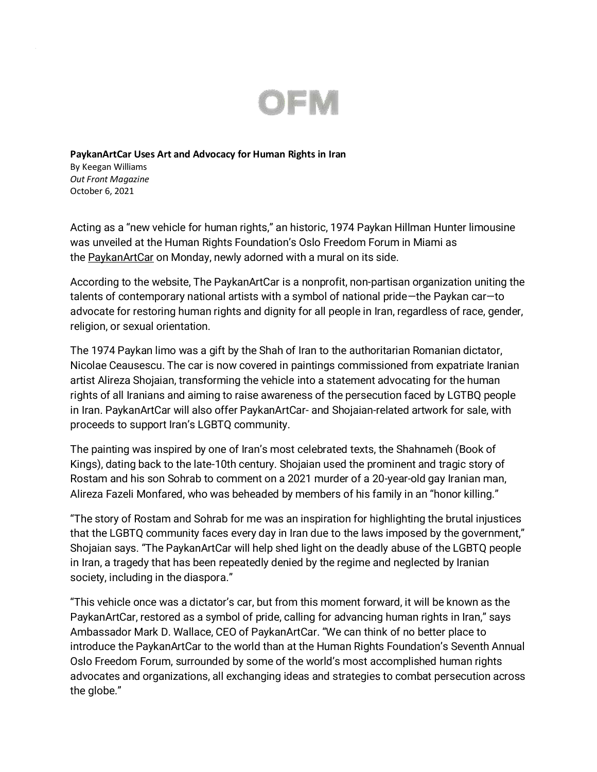

## **PaykanArtCar Uses Art and Advocacy for Human Rights in Iran**

By Keegan Williams *Out Front Magazine* October 6, 2021

Acting as a "new vehicle for human rights," an historic, 1974 Paykan Hillman Hunter limousine was unveiled at the Human Rights Foundation's Oslo Freedom Forum in Miami as the [PaykanArtCar](https://paykanartcar.com/) on Monday, newly adorned with a mural on its side.

According to the website, The PaykanArtCar is a nonprofit, non-partisan organization uniting the talents of contemporary national artists with a symbol of national pride—the Paykan car—to advocate for restoring human rights and dignity for all people in Iran, regardless of race, gender, religion, or sexual orientation.

The 1974 Paykan limo was a gift by the Shah of Iran to the authoritarian Romanian dictator, Nicolae Ceausescu. The car is now covered in paintings commissioned from expatriate Iranian artist Alireza Shojaian, transforming the vehicle into a statement advocating for the human rights of all Iranians and aiming to raise awareness of the persecution faced by LGTBQ people in Iran. PaykanArtCar will also offer PaykanArtCar- and Shojaian-related artwork for sale, with proceeds to support Iran's LGBTQ community.

The painting was inspired by one of Iran's most celebrated texts, the Shahnameh (Book of Kings), dating back to the late-10th century. Shojaian used the prominent and tragic story of Rostam and his son Sohrab to comment on a 2021 murder of a 20-year-old gay Iranian man, Alireza Fazeli Monfared, who was beheaded by members of his family in an "honor killing."

"The story of Rostam and Sohrab for me was an inspiration for highlighting the brutal injustices that the LGBTQ community faces every day in Iran due to the laws imposed by the government," Shojaian says. "The PaykanArtCar will help shed light on the deadly abuse of the LGBTQ people in Iran, a tragedy that has been repeatedly denied by the regime and neglected by Iranian society, including in the diaspora."

"This vehicle once was a dictator's car, but from this moment forward, it will be known as the PaykanArtCar, restored as a symbol of pride, calling for advancing human rights in Iran," says Ambassador Mark D. Wallace, CEO of PaykanArtCar. "We can think of no better place to introduce the PaykanArtCar to the world than at the Human Rights Foundation's Seventh Annual Oslo Freedom Forum, surrounded by some of the world's most accomplished human rights advocates and organizations, all exchanging ideas and strategies to combat persecution across the globe."